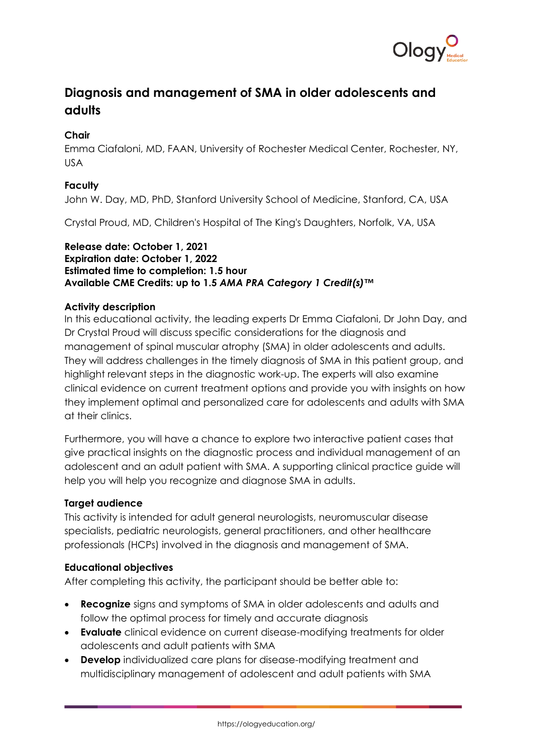

# **Diagnosis and management of SMA in older adolescents and adults**

# **Chair**

Emma Ciafaloni, MD, FAAN, University of Rochester Medical Center, Rochester, NY, USA

# **Faculty**

John W. Day, MD, PhD, Stanford University School of Medicine, Stanford, CA, USA

Crystal Proud, MD, Children's Hospital of The King's Daughters, Norfolk, VA, USA

## **Release date: October 1, 2021 Expiration date: October 1, 2022 Estimated time to completion: 1.5 hour Available CME Credits: up to 1.5** *AMA PRA Category 1 Credit(s)™*

# **Activity description**

In this educational activity, the leading experts Dr Emma Ciafaloni, Dr John Day, and Dr Crystal Proud will discuss specific considerations for the diagnosis and management of spinal muscular atrophy (SMA) in older adolescents and adults. They will address challenges in the timely diagnosis of SMA in this patient group, and highlight relevant steps in the diagnostic work-up. The experts will also examine clinical evidence on current treatment options and provide you with insights on how they implement optimal and personalized care for adolescents and adults with SMA at their clinics.

Furthermore, you will have a chance to explore two interactive patient cases that give practical insights on the diagnostic process and individual management of an adolescent and an adult patient with SMA. A supporting clinical practice guide will help you will help you recognize and diagnose SMA in adults.

# **Target audience**

This activity is intended for adult general neurologists, neuromuscular disease specialists, pediatric neurologists, general practitioners, and other healthcare professionals (HCPs) involved in the diagnosis and management of SMA.

# **Educational objectives**

After completing this activity, the participant should be better able to:

- **Recognize** signs and symptoms of SMA in older adolescents and adults and follow the optimal process for timely and accurate diagnosis
- **Evaluate** clinical evidence on current disease-modifying treatments for older adolescents and adult patients with SMA
- **Develop** individualized care plans for disease-modifying treatment and multidisciplinary management of adolescent and adult patients with SMA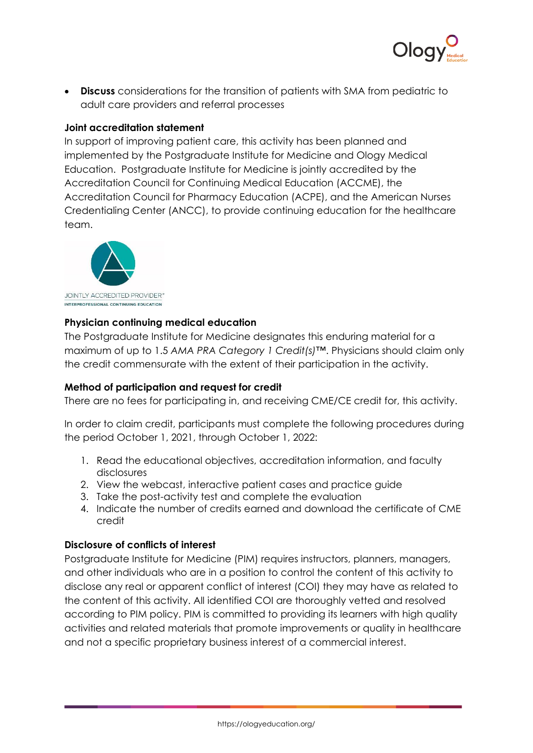

• **Discuss** considerations for the transition of patients with SMA from pediatric to adult care providers and referral processes

## **Joint accreditation statement**

In support of improving patient care, this activity has been planned and implemented by the Postgraduate Institute for Medicine and Ology Medical Education. Postgraduate Institute for Medicine is jointly accredited by the Accreditation Council for Continuing Medical Education (ACCME), the Accreditation Council for Pharmacy Education (ACPE), and the American Nurses Credentialing Center (ANCC), to provide continuing education for the healthcare team.



## **Physician continuing medical education**

The Postgraduate Institute for Medicine designates this enduring material for a maximum of up to 1.5 *AMA PRA Category 1 Credit(s)™*. Physicians should claim only the credit commensurate with the extent of their participation in the activity.

# **Method of participation and request for credit**

There are no fees for participating in, and receiving CME/CE credit for, this activity.

In order to claim credit, participants must complete the following procedures during the period October 1, 2021, through October 1, 2022:

- 1. Read the educational objectives, accreditation information, and faculty disclosures
- 2. View the webcast, interactive patient cases and practice guide
- 3. Take the post-activity test and complete the evaluation
- 4. Indicate the number of credits earned and download the certificate of CME credit

#### **Disclosure of conflicts of interest**

Postgraduate Institute for Medicine (PIM) requires instructors, planners, managers, and other individuals who are in a position to control the content of this activity to disclose any real or apparent conflict of interest (COI) they may have as related to the content of this activity. All identified COI are thoroughly vetted and resolved according to PIM policy. PIM is committed to providing its learners with high quality activities and related materials that promote improvements or quality in healthcare and not a specific proprietary business interest of a commercial interest.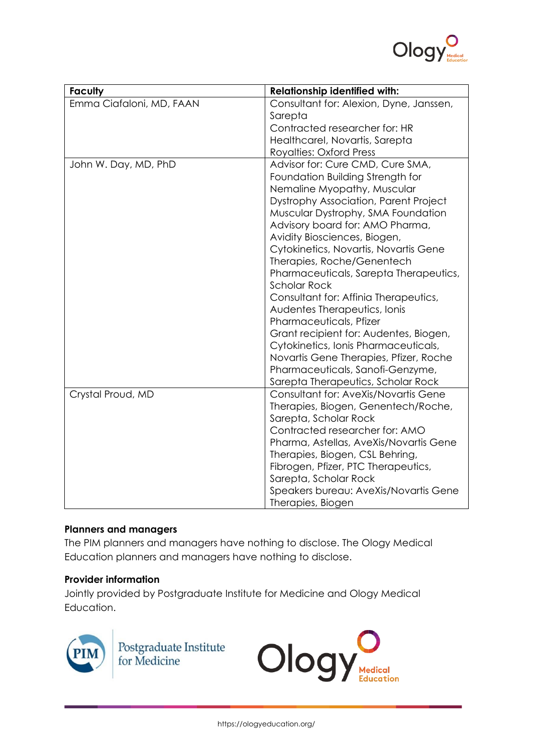

| <b>Faculty</b>           | <b>Relationship identified with:</b>    |
|--------------------------|-----------------------------------------|
| Emma Ciafaloni, MD, FAAN | Consultant for: Alexion, Dyne, Janssen, |
|                          | Sarepta                                 |
|                          | Contracted researcher for: HR           |
|                          | Healthcarel, Novartis, Sarepta          |
|                          | <b>Royalties: Oxford Press</b>          |
| John W. Day, MD, PhD     | Advisor for: Cure CMD, Cure SMA,        |
|                          | Foundation Building Strength for        |
|                          | Nemaline Myopathy, Muscular             |
|                          | Dystrophy Association, Parent Project   |
|                          | Muscular Dystrophy, SMA Foundation      |
|                          | Advisory board for: AMO Pharma,         |
|                          | Avidity Biosciences, Biogen,            |
|                          | Cytokinetics, Novartis, Novartis Gene   |
|                          | Therapies, Roche/Genentech              |
|                          | Pharmaceuticals, Sarepta Therapeutics,  |
|                          | <b>Scholar Rock</b>                     |
|                          | Consultant for: Affinia Therapeutics,   |
|                          | Audentes Therapeutics, Ionis            |
|                          | Pharmaceuticals, Pfizer                 |
|                          | Grant recipient for: Audentes, Biogen,  |
|                          | Cytokinetics, Ionis Pharmaceuticals,    |
|                          | Novartis Gene Therapies, Pfizer, Roche  |
|                          | Pharmaceuticals, Sanofi-Genzyme,        |
|                          | Sarepta Therapeutics, Scholar Rock      |
| Crystal Proud, MD        | Consultant for: AveXis/Novartis Gene    |
|                          | Therapies, Biogen, Genentech/Roche,     |
|                          | Sarepta, Scholar Rock                   |
|                          | Contracted researcher for: AMO          |
|                          | Pharma, Astellas, AveXis/Novartis Gene  |
|                          | Therapies, Biogen, CSL Behring,         |
|                          | Fibrogen, Pfizer, PTC Therapeutics,     |
|                          | Sarepta, Scholar Rock                   |
|                          | Speakers bureau: AveXis/Novartis Gene   |
|                          | Therapies, Biogen                       |

# **Planners and managers**

The PIM planners and managers have nothing to disclose. The Ology Medical Education planners and managers have nothing to disclose.

# **Provider information**

Jointly provided by Postgraduate Institute for Medicine and Ology Medical Education.



Postgraduate Institute<br>for Medicine